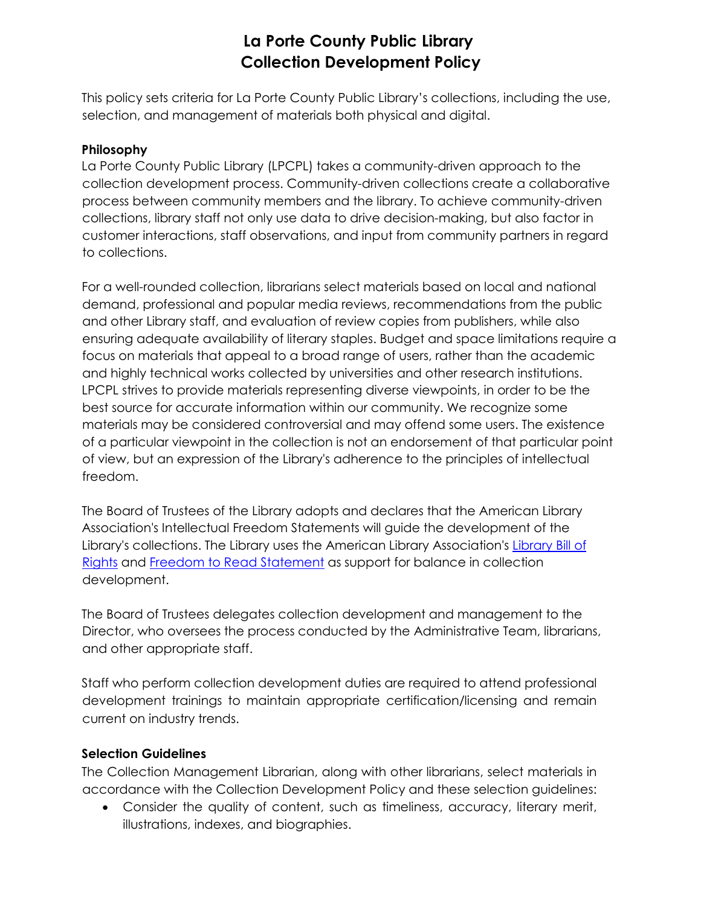# **La Porte County Public Library Collection Development Policy**

This policy sets criteria for La Porte County Public Library's collections, including the use, selection, and management of materials both physical and digital.

# **Philosophy**

La Porte County Public Library (LPCPL) takes a community-driven approach to the collection development process. Community-driven collections create a collaborative process between community members and the library. To achieve community-driven collections, library staff not only use data to drive decision-making, but also factor in customer interactions, staff observations, and input from community partners in regard to collections.

For a well-rounded collection, librarians select materials based on local and national demand, professional and popular media reviews, recommendations from the public and other Library staff, and evaluation of review copies from publishers, while also ensuring adequate availability of literary staples. Budget and space limitations require a focus on materials that appeal to a broad range of users, rather than the academic and highly technical works collected by universities and other research institutions. LPCPL strives to provide materials representing diverse viewpoints, in order to be the best source for accurate information within our community. We recognize some materials may be considered controversial and may offend some users. The existence of a particular viewpoint in the collection is not an endorsement of that particular point of view, but an expression of the Library's adherence to the principles of intellectual freedom.

The Board of Trustees of the Library adopts and declares that the American Library Association's Intellectual Freedom Statements will guide the development of the Library's collections. The Library uses the American Library Association's [Library Bill of](http://www.ala.org/advocacy/intfreedom/librarybill) [Rights](http://www.ala.org/advocacy/intfreedom/librarybill) [a](http://www.ala.org/advocacy/intfreedom/librarybill)nd [Freedom to Read St](http://www.ala.org/advocacy/intfreedom/freedomreadstatement)atement as support for balance in collection development.

The Board of Trustees delegates collection development and management to the Director, who oversees the process conducted by the Administrative Team, librarians, and other appropriate staff.

Staff who perform collection development duties are required to attend professional development trainings to maintain appropriate certification/licensing and remain current on industry trends.

# **Selection Guidelines**

The Collection Management Librarian, along with other librarians, select materials in accordance with the Collection Development Policy and these selection guidelines:

• Consider the quality of content, such as timeliness, accuracy, literary merit, illustrations, indexes, and biographies.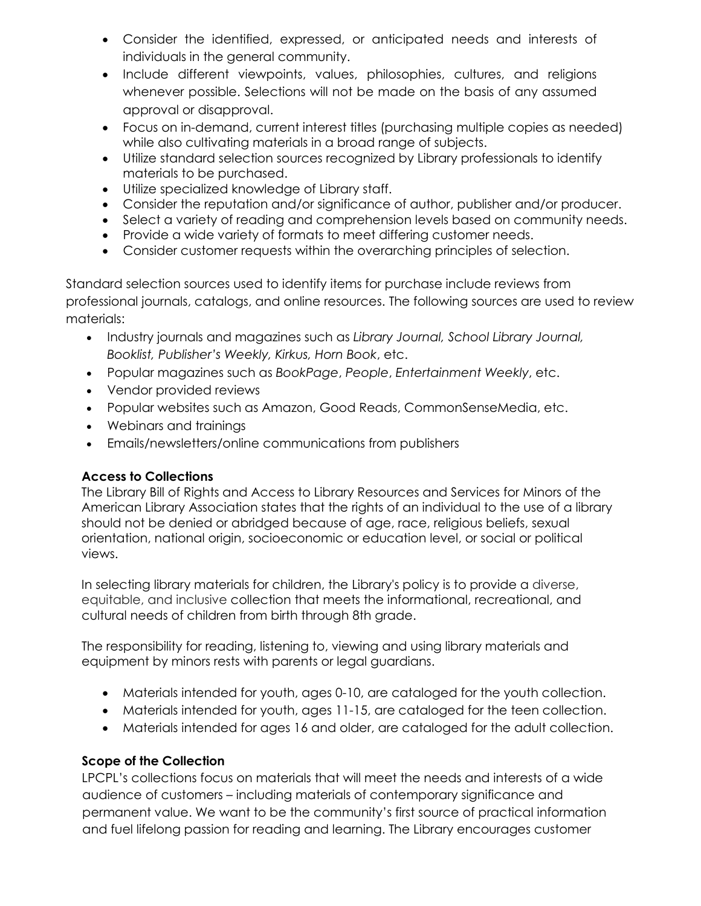- Consider the identified, expressed, or anticipated needs and interests of individuals in the general community.
- Include different viewpoints, values, philosophies, cultures, and religions whenever possible. Selections will not be made on the basis of any assumed approval or disapproval.
- Focus on in-demand, current interest titles (purchasing multiple copies as needed) while also cultivating materials in a broad range of subjects.
- Utilize standard selection sources recognized by Library professionals to identify materials to be purchased.
- Utilize specialized knowledge of Library staff.
- Consider the reputation and/or significance of author, publisher and/or producer.
- Select a variety of reading and comprehension levels based on community needs.
- Provide a wide variety of formats to meet differing customer needs.
- Consider customer requests within the overarching principles of selection.

Standard selection sources used to identify items for purchase include reviews from professional journals, catalogs, and online resources. The following sources are used to review materials:

- Industry journals and magazines such as *Library Journal, School Library Journal, Booklist, Publisher's Weekly, Kirkus, Horn Book*, etc.
- Popular magazines such as *BookPage*, *People*, *Entertainment Weekly*, etc.
- Vendor provided reviews
- Popular websites such as Amazon, Good Reads, CommonSenseMedia, etc.
- Webinars and trainings
- Emails/newsletters/online communications from publishers

# **Access to Collections**

The Library Bill of Rights and Access to Library Resources and Services for Minors of the American Library Association states that the rights of an individual to the use of a library should not be denied or abridged because of age, race, religious beliefs, sexual orientation, national origin, socioeconomic or education level, or social or political views.

In selecting library materials for children, the Library's policy is to provide a diverse, equitable, and inclusive collection that meets the informational, recreational, and cultural needs of children from birth through 8th grade.

The responsibility for reading, listening to, viewing and using library materials and equipment by minors rests with parents or legal guardians.

- Materials intended for youth, ages 0-10, are cataloged for the youth collection.
- Materials intended for youth, ages 11-15, are cataloged for the teen collection.
- Materials intended for ages 16 and older, are cataloged for the adult collection.

# **Scope of the Collection**

LPCPL's collections focus on materials that will meet the needs and interests of a wide audience of customers – including materials of contemporary significance and permanent value. We want to be the community's first source of practical information and fuel lifelong passion for reading and learning. The Library encourages customer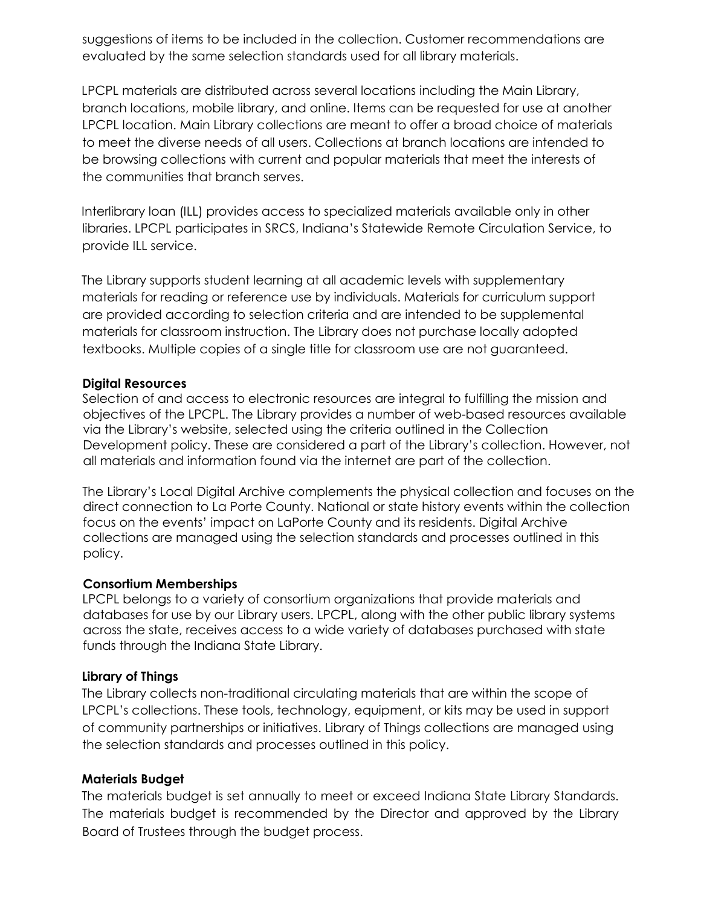suggestions of items to be included in the collection. Customer recommendations are evaluated by the same selection standards used for all library materials.

LPCPL materials are distributed across several locations including the Main Library, branch locations, mobile library, and online. Items can be requested for use at another LPCPL location. Main Library collections are meant to offer a broad choice of materials to meet the diverse needs of all users. Collections at branch locations are intended to be browsing collections with current and popular materials that meet the interests of the communities that branch serves.

Interlibrary loan (ILL) provides access to specialized materials available only in other libraries. LPCPL participates in SRCS, Indiana's Statewide Remote Circulation Service, to provide ILL service.

The Library supports student learning at all academic levels with supplementary materials for reading or reference use by individuals. Materials for curriculum support are provided according to selection criteria and are intended to be supplemental materials for classroom instruction. The Library does not purchase locally adopted textbooks. Multiple copies of a single title for classroom use are not guaranteed.

#### **Digital Resources**

Selection of and access to electronic resources are integral to fulfilling the mission and objectives of the LPCPL. The Library provides a number of web-based resources available via the Library's website, selected using the criteria outlined in the Collection Development policy. These are considered a part of the Library's collection. However, not all materials and information found via the internet are part of the collection.

The Library's Local Digital Archive complements the physical collection and focuses on the direct connection to La Porte County. National or state history events within the collection focus on the events' impact on LaPorte County and its residents. Digital Archive collections are managed using the selection standards and processes outlined in this policy.

## **Consortium Memberships**

LPCPL belongs to a variety of consortium organizations that provide materials and databases for use by our Library users. LPCPL, along with the other public library systems across the state, receives access to a wide variety of databases purchased with state funds through the Indiana State Library.

## **Library of Things**

The Library collects non-traditional circulating materials that are within the scope of LPCPL's collections. These tools, technology, equipment, or kits may be used in support of community partnerships or initiatives. Library of Things collections are managed using the selection standards and processes outlined in this policy.

#### **Materials Budget**

The materials budget is set annually to meet or exceed Indiana State Library Standards. The materials budget is recommended by the Director and approved by the Library Board of Trustees through the budget process.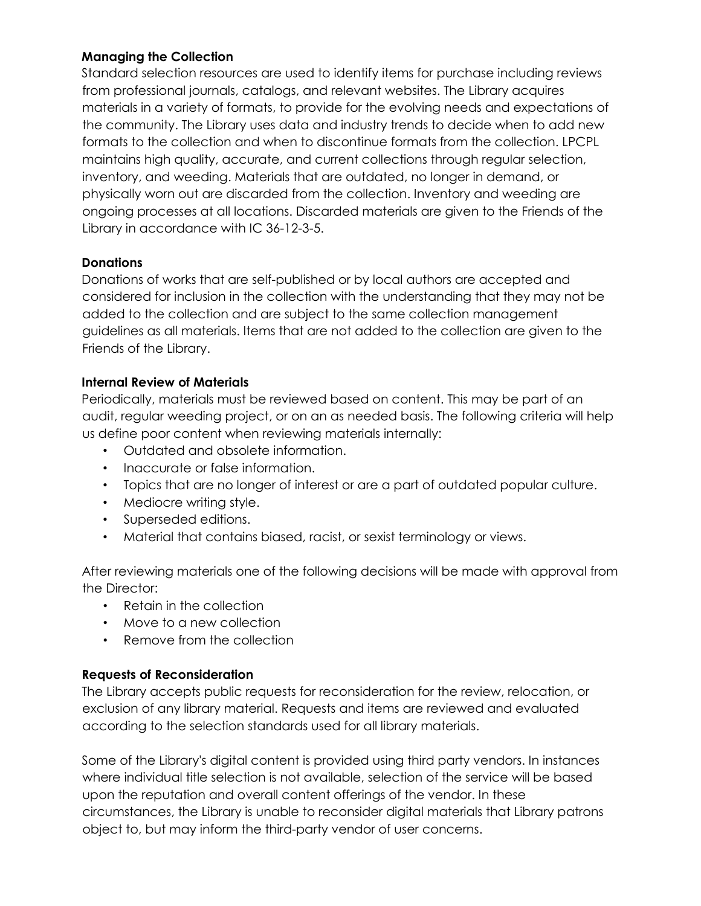# **Managing the Collection**

Standard selection resources are used to identify items for purchase including reviews from professional journals, catalogs, and relevant websites. The Library acquires materials in a variety of formats, to provide for the evolving needs and expectations of the community. The Library uses data and industry trends to decide when to add new formats to the collection and when to discontinue formats from the collection. LPCPL maintains high quality, accurate, and current collections through regular selection, inventory, and weeding. Materials that are outdated, no longer in demand, or physically worn out are discarded from the collection. Inventory and weeding are ongoing processes at all locations. Discarded materials are given to the Friends of the Library in accordance with IC 36-12-3-5.

# **Donations**

Donations of works that are self-published or by local authors are accepted and considered for inclusion in the collection with the understanding that they may not be added to the collection and are subject to the same collection management guidelines as all materials. Items that are not added to the collection are given to the Friends of the Library.

# **Internal Review of Materials**

Periodically, materials must be reviewed based on content. This may be part of an audit, regular weeding project, or on an as needed basis. The following criteria will help us define poor content when reviewing materials internally:

- Outdated and obsolete information.
- Inaccurate or false information.
- Topics that are no longer of interest or are a part of outdated popular culture.
- Mediocre writing style.
- Superseded editions.
- Material that contains biased, racist, or sexist terminology or views.

After reviewing materials one of the following decisions will be made with approval from the Director:

- Retain in the collection
- Move to a new collection
- Remove from the collection

## **Requests of Reconsideration**

The Library accepts public requests for reconsideration for the review, relocation, or exclusion of any library material. Requests and items are reviewed and evaluated according to the selection standards used for all library materials.

Some of the Library's digital content is provided using third party vendors. In instances where individual title selection is not available, selection of the service will be based upon the reputation and overall content offerings of the vendor. In these circumstances, the Library is unable to reconsider digital materials that Library patrons object to, but may inform the third-party vendor of user concerns.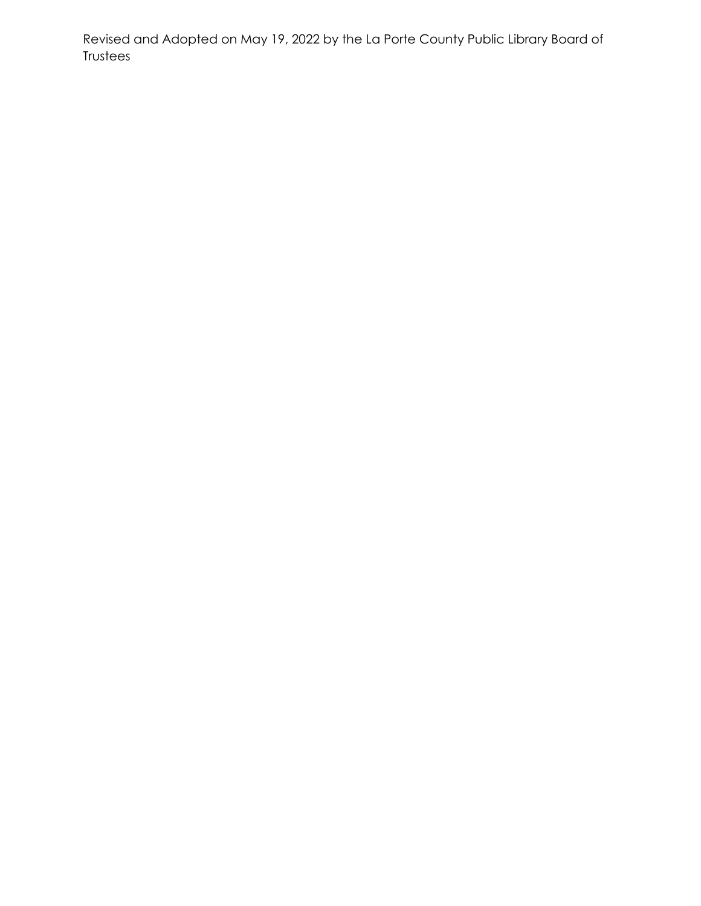Revised and Adopted on May 19, 2022 by the La Porte County Public Library Board of Trustees